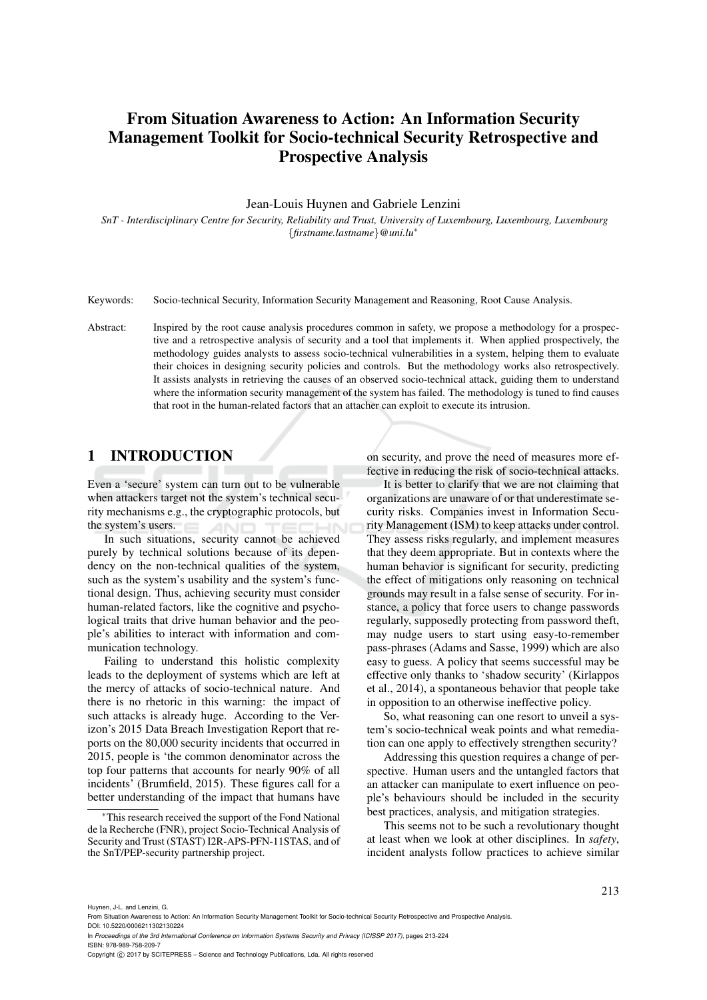# From Situation Awareness to Action: An Information Security Management Toolkit for Socio-technical Security Retrospective and Prospective Analysis

#### Jean-Louis Huynen and Gabriele Lenzini

*SnT - Interdisciplinary Centre for Security, Reliability and Trust, University of Luxembourg, Luxembourg, Luxembourg* {*firstname.lastname*}*@uni.lu*<sup>∗</sup>

Keywords: Socio-technical Security, Information Security Management and Reasoning, Root Cause Analysis.

Abstract: Inspired by the root cause analysis procedures common in safety, we propose a methodology for a prospective and a retrospective analysis of security and a tool that implements it. When applied prospectively, the methodology guides analysts to assess socio-technical vulnerabilities in a system, helping them to evaluate their choices in designing security policies and controls. But the methodology works also retrospectively. It assists analysts in retrieving the causes of an observed socio-technical attack, guiding them to understand where the information security management of the system has failed. The methodology is tuned to find causes that root in the human-related factors that an attacher can exploit to execute its intrusion.

## 1 INTRODUCTION

Even a 'secure' system can turn out to be vulnerable when attackers target not the system's technical security mechanisms e.g., the cryptographic protocols, but the system's users.

In such situations, security cannot be achieved purely by technical solutions because of its dependency on the non-technical qualities of the system, such as the system's usability and the system's functional design. Thus, achieving security must consider human-related factors, like the cognitive and psychological traits that drive human behavior and the people's abilities to interact with information and communication technology.

Failing to understand this holistic complexity leads to the deployment of systems which are left at the mercy of attacks of socio-technical nature. And there is no rhetoric in this warning: the impact of such attacks is already huge. According to the Verizon's 2015 Data Breach Investigation Report that reports on the 80,000 security incidents that occurred in 2015, people is 'the common denominator across the top four patterns that accounts for nearly 90% of all incidents' (Brumfield, 2015). These figures call for a better understanding of the impact that humans have on security, and prove the need of measures more effective in reducing the risk of socio-technical attacks.

It is better to clarify that we are not claiming that organizations are unaware of or that underestimate security risks. Companies invest in Information Security Management (ISM) to keep attacks under control. They assess risks regularly, and implement measures that they deem appropriate. But in contexts where the human behavior is significant for security, predicting the effect of mitigations only reasoning on technical grounds may result in a false sense of security. For instance, a policy that force users to change passwords regularly, supposedly protecting from password theft, may nudge users to start using easy-to-remember pass-phrases (Adams and Sasse, 1999) which are also easy to guess. A policy that seems successful may be effective only thanks to 'shadow security' (Kirlappos et al., 2014), a spontaneous behavior that people take in opposition to an otherwise ineffective policy.

So, what reasoning can one resort to unveil a system's socio-technical weak points and what remediation can one apply to effectively strengthen security?

Addressing this question requires a change of perspective. Human users and the untangled factors that an attacker can manipulate to exert influence on people's behaviours should be included in the security best practices, analysis, and mitigation strategies.

This seems not to be such a revolutionary thought at least when we look at other disciplines. In *safety*, incident analysts follow practices to achieve similar

<sup>∗</sup>This research received the support of the Fond National de la Recherche (FNR), project Socio-Technical Analysis of Security and Trust (STAST) I2R-APS-PFN-11STAS, and of the SnT/PEP-security partnership project.

Huynen, J-L. and Lenzini, G.

From Situation Awareness to Action: An Information Security Management Toolkit for Socio-technical Security Retrospective and Prospective Analysis. DOI: 10.5220/0006211302130224

In *Proceedings of the 3rd International Conference on Information Systems Security and Privacy (ICISSP 2017)*, pages 213-224 ISBN: 978-989-758-209-7

Copyright (C) 2017 by SCITEPRESS - Science and Technology Publications, Lda. All rights reserved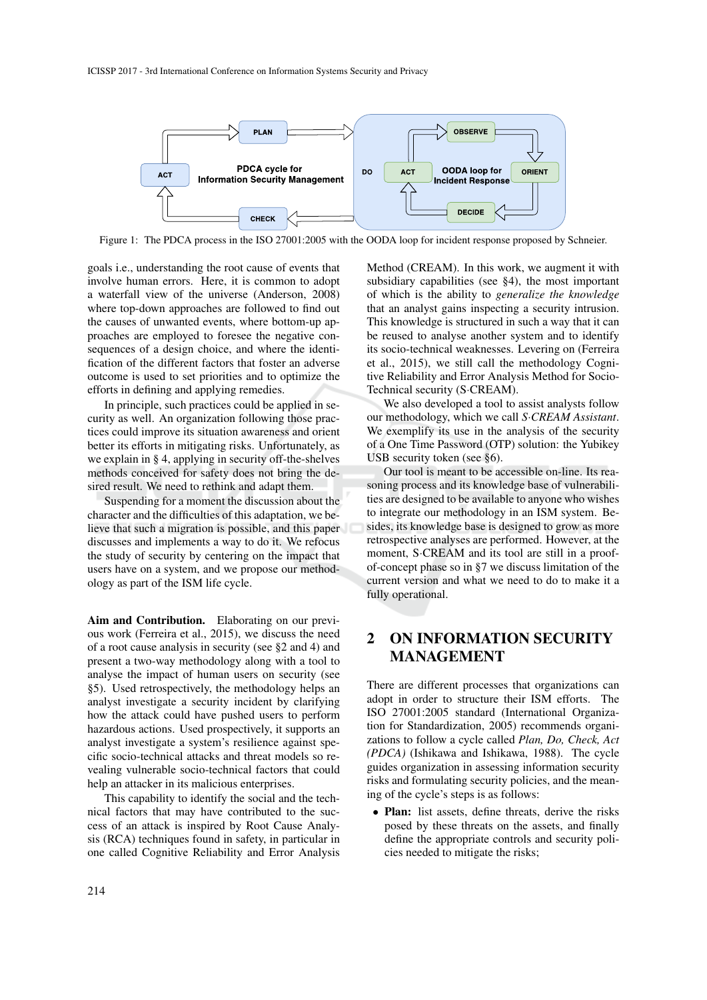

Figure 1: The PDCA process in the ISO 27001:2005 with the OODA loop for incident response proposed by Schneier.

goals i.e., understanding the root cause of events that involve human errors. Here, it is common to adopt a waterfall view of the universe (Anderson, 2008) where top-down approaches are followed to find out the causes of unwanted events, where bottom-up approaches are employed to foresee the negative consequences of a design choice, and where the identification of the different factors that foster an adverse outcome is used to set priorities and to optimize the efforts in defining and applying remedies.

In principle, such practices could be applied in security as well. An organization following those practices could improve its situation awareness and orient better its efforts in mitigating risks. Unfortunately, as we explain in § 4, applying in security off-the-shelves methods conceived for safety does not bring the desired result. We need to rethink and adapt them.

Suspending for a moment the discussion about the character and the difficulties of this adaptation, we believe that such a migration is possible, and this paper discusses and implements a way to do it. We refocus the study of security by centering on the impact that users have on a system, and we propose our methodology as part of the ISM life cycle.

Aim and Contribution. Elaborating on our previous work (Ferreira et al., 2015), we discuss the need of a root cause analysis in security (see §2 and 4) and present a two-way methodology along with a tool to analyse the impact of human users on security (see §5). Used retrospectively, the methodology helps an analyst investigate a security incident by clarifying how the attack could have pushed users to perform hazardous actions. Used prospectively, it supports an analyst investigate a system's resilience against specific socio-technical attacks and threat models so revealing vulnerable socio-technical factors that could help an attacker in its malicious enterprises.

This capability to identify the social and the technical factors that may have contributed to the success of an attack is inspired by Root Cause Analysis (RCA) techniques found in safety, in particular in one called Cognitive Reliability and Error Analysis Method (CREAM). In this work, we augment it with subsidiary capabilities (see §4), the most important of which is the ability to *generalize the knowledge* that an analyst gains inspecting a security intrusion. This knowledge is structured in such a way that it can be reused to analyse another system and to identify its socio-technical weaknesses. Levering on (Ferreira et al., 2015), we still call the methodology Cognitive Reliability and Error Analysis Method for Socio-Technical security (S·CREAM).

We also developed a tool to assist analysts follow our methodology, which we call *S*·*CREAM Assistant*. We exemplify its use in the analysis of the security of a One Time Password (OTP) solution: the Yubikey USB security token (see §6).

Our tool is meant to be accessible on-line. Its reasoning process and its knowledge base of vulnerabilities are designed to be available to anyone who wishes to integrate our methodology in an ISM system. Besides, its knowledge base is designed to grow as more retrospective analyses are performed. However, at the moment, S·CREAM and its tool are still in a proofof-concept phase so in §7 we discuss limitation of the current version and what we need to do to make it a fully operational.

## 2 ON INFORMATION SECURITY MANAGEMENT

There are different processes that organizations can adopt in order to structure their ISM efforts. The ISO 27001:2005 standard (International Organization for Standardization, 2005) recommends organizations to follow a cycle called *Plan, Do, Check, Act (PDCA)* (Ishikawa and Ishikawa, 1988). The cycle guides organization in assessing information security risks and formulating security policies, and the meaning of the cycle's steps is as follows:

• Plan: list assets, define threats, derive the risks posed by these threats on the assets, and finally define the appropriate controls and security policies needed to mitigate the risks;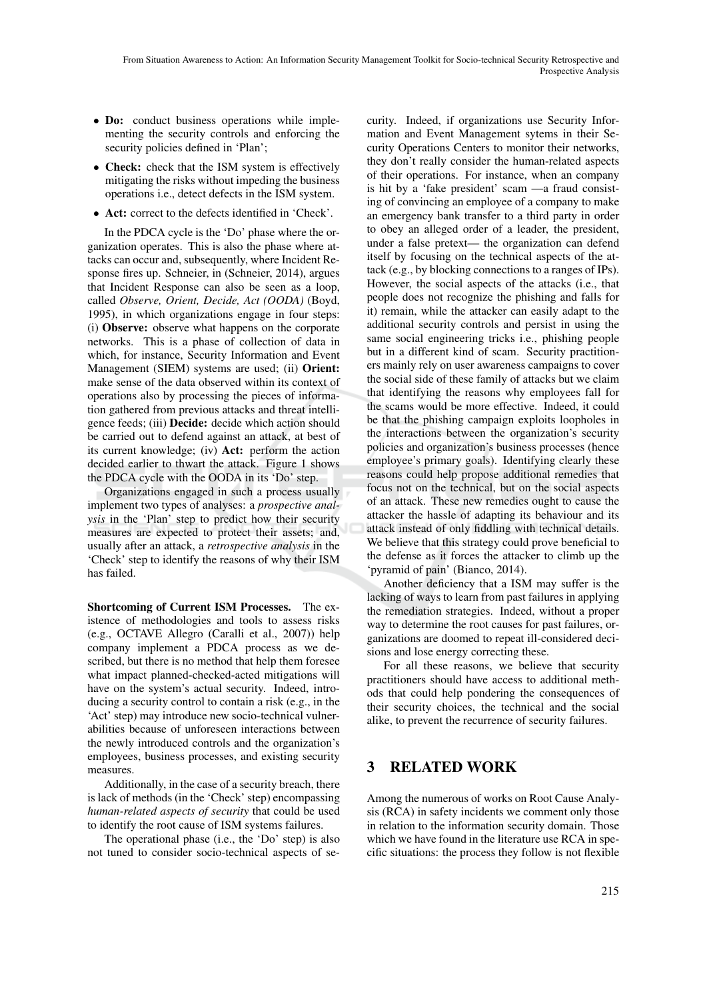- Do: conduct business operations while implementing the security controls and enforcing the security policies defined in 'Plan';
- Check: check that the ISM system is effectively mitigating the risks without impeding the business operations i.e., detect defects in the ISM system.
- Act: correct to the defects identified in 'Check'.

In the PDCA cycle is the 'Do' phase where the organization operates. This is also the phase where attacks can occur and, subsequently, where Incident Response fires up. Schneier, in (Schneier, 2014), argues that Incident Response can also be seen as a loop, called *Observe, Orient, Decide, Act (OODA)* (Boyd, 1995), in which organizations engage in four steps: (i) Observe: observe what happens on the corporate networks. This is a phase of collection of data in which, for instance, Security Information and Event Management (SIEM) systems are used; (ii) Orient: make sense of the data observed within its context of operations also by processing the pieces of information gathered from previous attacks and threat intelligence feeds; (iii) Decide: decide which action should be carried out to defend against an attack, at best of its current knowledge; (iv) Act: perform the action decided earlier to thwart the attack. Figure 1 shows the PDCA cycle with the OODA in its 'Do' step.

Organizations engaged in such a process usually implement two types of analyses: a *prospective analysis* in the 'Plan' step to predict how their security measures are expected to protect their assets; and, usually after an attack, a *retrospective analysis* in the 'Check' step to identify the reasons of why their ISM has failed.

Shortcoming of Current ISM Processes. The existence of methodologies and tools to assess risks (e.g., OCTAVE Allegro (Caralli et al., 2007)) help company implement a PDCA process as we described, but there is no method that help them foresee what impact planned-checked-acted mitigations will have on the system's actual security. Indeed, introducing a security control to contain a risk (e.g., in the 'Act' step) may introduce new socio-technical vulnerabilities because of unforeseen interactions between the newly introduced controls and the organization's employees, business processes, and existing security measures.

Additionally, in the case of a security breach, there is lack of methods (in the 'Check' step) encompassing *human-related aspects of security* that could be used to identify the root cause of ISM systems failures.

The operational phase (i.e., the 'Do' step) is also not tuned to consider socio-technical aspects of security. Indeed, if organizations use Security Information and Event Management sytems in their Security Operations Centers to monitor their networks, they don't really consider the human-related aspects of their operations. For instance, when an company is hit by a 'fake president' scam —a fraud consisting of convincing an employee of a company to make an emergency bank transfer to a third party in order to obey an alleged order of a leader, the president, under a false pretext— the organization can defend itself by focusing on the technical aspects of the attack (e.g., by blocking connections to a ranges of IPs). However, the social aspects of the attacks (i.e., that people does not recognize the phishing and falls for it) remain, while the attacker can easily adapt to the additional security controls and persist in using the same social engineering tricks i.e., phishing people but in a different kind of scam. Security practitioners mainly rely on user awareness campaigns to cover the social side of these family of attacks but we claim that identifying the reasons why employees fall for the scams would be more effective. Indeed, it could be that the phishing campaign exploits loopholes in the interactions between the organization's security policies and organization's business processes (hence employee's primary goals). Identifying clearly these reasons could help propose additional remedies that focus not on the technical, but on the social aspects of an attack. These new remedies ought to cause the attacker the hassle of adapting its behaviour and its attack instead of only fiddling with technical details. We believe that this strategy could prove beneficial to the defense as it forces the attacker to climb up the 'pyramid of pain' (Bianco, 2014).

Another deficiency that a ISM may suffer is the lacking of ways to learn from past failures in applying the remediation strategies. Indeed, without a proper way to determine the root causes for past failures, organizations are doomed to repeat ill-considered decisions and lose energy correcting these.

For all these reasons, we believe that security practitioners should have access to additional methods that could help pondering the consequences of their security choices, the technical and the social alike, to prevent the recurrence of security failures.

# 3 RELATED WORK

Among the numerous of works on Root Cause Analysis (RCA) in safety incidents we comment only those in relation to the information security domain. Those which we have found in the literature use RCA in specific situations: the process they follow is not flexible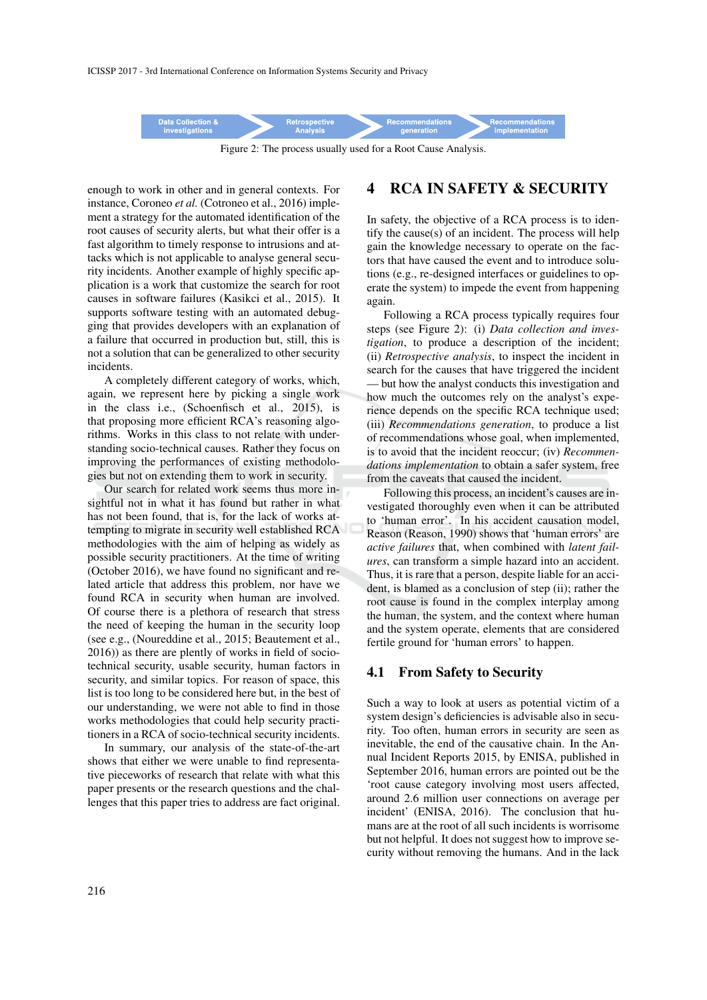

Figure 2: The process usually used for a Root Cause Analysis.

enough to work in other and in general contexts. For instance, Coroneo *et al.* (Cotroneo et al., 2016) implement a strategy for the automated identification of the root causes of security alerts, but what their offer is a fast algorithm to timely response to intrusions and attacks which is not applicable to analyse general security incidents. Another example of highly specific application is a work that customize the search for root causes in software failures (Kasikci et al., 2015). It supports software testing with an automated debugging that provides developers with an explanation of a failure that occurred in production but, still, this is not a solution that can be generalized to other security incidents.

A completely different category of works, which, again, we represent here by picking a single work in the class i.e., (Schoenfisch et al., 2015), is that proposing more efficient RCA's reasoning algorithms. Works in this class to not relate with understanding socio-technical causes. Rather they focus on improving the performances of existing methodologies but not on extending them to work in security.

Our search for related work seems thus more insightful not in what it has found but rather in what has not been found, that is, for the lack of works attempting to migrate in security well established RCA methodologies with the aim of helping as widely as possible security practitioners. At the time of writing (October 2016), we have found no significant and related article that address this problem, nor have we found RCA in security when human are involved. Of course there is a plethora of research that stress the need of keeping the human in the security loop (see e.g., (Noureddine et al., 2015; Beautement et al., 2016)) as there are plently of works in field of sociotechnical security, usable security, human factors in security, and similar topics. For reason of space, this list is too long to be considered here but, in the best of our understanding, we were not able to find in those works methodologies that could help security practitioners in a RCA of socio-technical security incidents.

In summary, our analysis of the state-of-the-art shows that either we were unable to find representative pieceworks of research that relate with what this paper presents or the research questions and the challenges that this paper tries to address are fact original.

## 4 RCA IN SAFETY & SECURITY

In safety, the objective of a RCA process is to identify the cause(s) of an incident. The process will help gain the knowledge necessary to operate on the factors that have caused the event and to introduce solutions (e.g., re-designed interfaces or guidelines to operate the system) to impede the event from happening again.

Following a RCA process typically requires four steps (see Figure 2): (i) *Data collection and investigation*, to produce a description of the incident; (ii) *Retrospective analysis*, to inspect the incident in search for the causes that have triggered the incident — but how the analyst conducts this investigation and how much the outcomes rely on the analyst's experience depends on the specific RCA technique used; (iii) *Recommendations generation*, to produce a list of recommendations whose goal, when implemented, is to avoid that the incident reoccur; (iv) *Recommendations implementation* to obtain a safer system, free from the caveats that caused the incident.

Following this process, an incident's causes are investigated thoroughly even when it can be attributed to 'human error'. In his accident causation model, Reason (Reason, 1990) shows that 'human errors' are *active failures* that, when combined with *latent failures*, can transform a simple hazard into an accident. Thus, it is rare that a person, despite liable for an accident, is blamed as a conclusion of step (ii); rather the root cause is found in the complex interplay among the human, the system, and the context where human and the system operate, elements that are considered fertile ground for 'human errors' to happen.

#### 4.1 From Safety to Security

Such a way to look at users as potential victim of a system design's deficiencies is advisable also in security. Too often, human errors in security are seen as inevitable, the end of the causative chain. In the Annual Incident Reports 2015, by ENISA, published in September 2016, human errors are pointed out be the 'root cause category involving most users affected, around 2.6 million user connections on average per incident' (ENISA, 2016). The conclusion that humans are at the root of all such incidents is worrisome but not helpful. It does not suggest how to improve security without removing the humans. And in the lack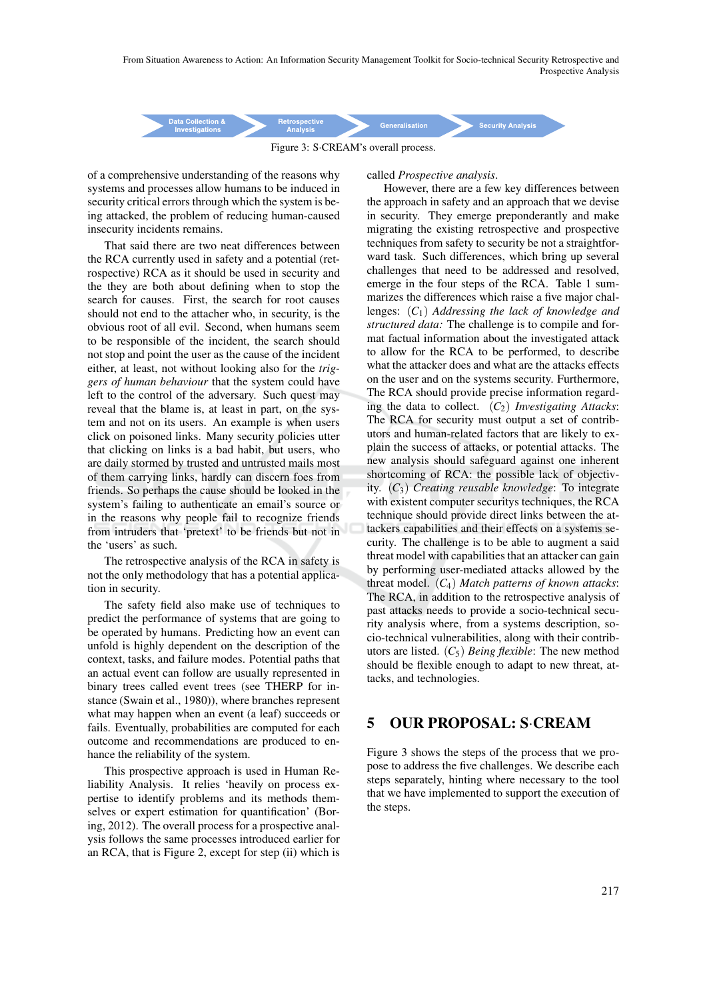

Figure 3: S·CREAM's overall process.

of a comprehensive understanding of the reasons why systems and processes allow humans to be induced in security critical errors through which the system is being attacked, the problem of reducing human-caused insecurity incidents remains.

That said there are two neat differences between the RCA currently used in safety and a potential (retrospective) RCA as it should be used in security and the they are both about defining when to stop the search for causes. First, the search for root causes should not end to the attacher who, in security, is the obvious root of all evil. Second, when humans seem to be responsible of the incident, the search should not stop and point the user as the cause of the incident either, at least, not without looking also for the *triggers of human behaviour* that the system could have left to the control of the adversary. Such quest may reveal that the blame is, at least in part, on the system and not on its users. An example is when users click on poisoned links. Many security policies utter that clicking on links is a bad habit, but users, who are daily stormed by trusted and untrusted mails most of them carrying links, hardly can discern foes from friends. So perhaps the cause should be looked in the system's failing to authenticate an email's source or in the reasons why people fail to recognize friends from intruders that 'pretext' to be friends but not in the 'users' as such.

The retrospective analysis of the RCA in safety is not the only methodology that has a potential application in security.

The safety field also make use of techniques to predict the performance of systems that are going to be operated by humans. Predicting how an event can unfold is highly dependent on the description of the context, tasks, and failure modes. Potential paths that an actual event can follow are usually represented in binary trees called event trees (see THERP for instance (Swain et al., 1980)), where branches represent what may happen when an event (a leaf) succeeds or fails. Eventually, probabilities are computed for each outcome and recommendations are produced to enhance the reliability of the system.

This prospective approach is used in Human Reliability Analysis. It relies 'heavily on process expertise to identify problems and its methods themselves or expert estimation for quantification' (Boring, 2012). The overall process for a prospective analysis follows the same processes introduced earlier for an RCA, that is Figure 2, except for step (ii) which is called *Prospective analysis*.

However, there are a few key differences between the approach in safety and an approach that we devise in security. They emerge preponderantly and make migrating the existing retrospective and prospective techniques from safety to security be not a straightforward task. Such differences, which bring up several challenges that need to be addressed and resolved, emerge in the four steps of the RCA. Table 1 summarizes the differences which raise a five major challenges: (*C*1) *Addressing the lack of knowledge and structured data:* The challenge is to compile and format factual information about the investigated attack to allow for the RCA to be performed, to describe what the attacker does and what are the attacks effects on the user and on the systems security. Furthermore, The RCA should provide precise information regarding the data to collect. (*C*2) *Investigating Attacks*: The RCA for security must output a set of contributors and human-related factors that are likely to explain the success of attacks, or potential attacks. The new analysis should safeguard against one inherent shortcoming of RCA: the possible lack of objectivity. (*C*3) *Creating reusable knowledge*: To integrate with existent computer securitys techniques, the RCA technique should provide direct links between the attackers capabilities and their effects on a systems security. The challenge is to be able to augment a said threat model with capabilities that an attacker can gain by performing user-mediated attacks allowed by the threat model. (*C*4) *Match patterns of known attacks*: The RCA, in addition to the retrospective analysis of past attacks needs to provide a socio-technical security analysis where, from a systems description, socio-technical vulnerabilities, along with their contributors are listed.  $(C_5)$  *Being flexible*: The new method should be flexible enough to adapt to new threat, attacks, and technologies.

## 5 OUR PROPOSAL: S·CREAM

Figure 3 shows the steps of the process that we propose to address the five challenges. We describe each steps separately, hinting where necessary to the tool that we have implemented to support the execution of the steps.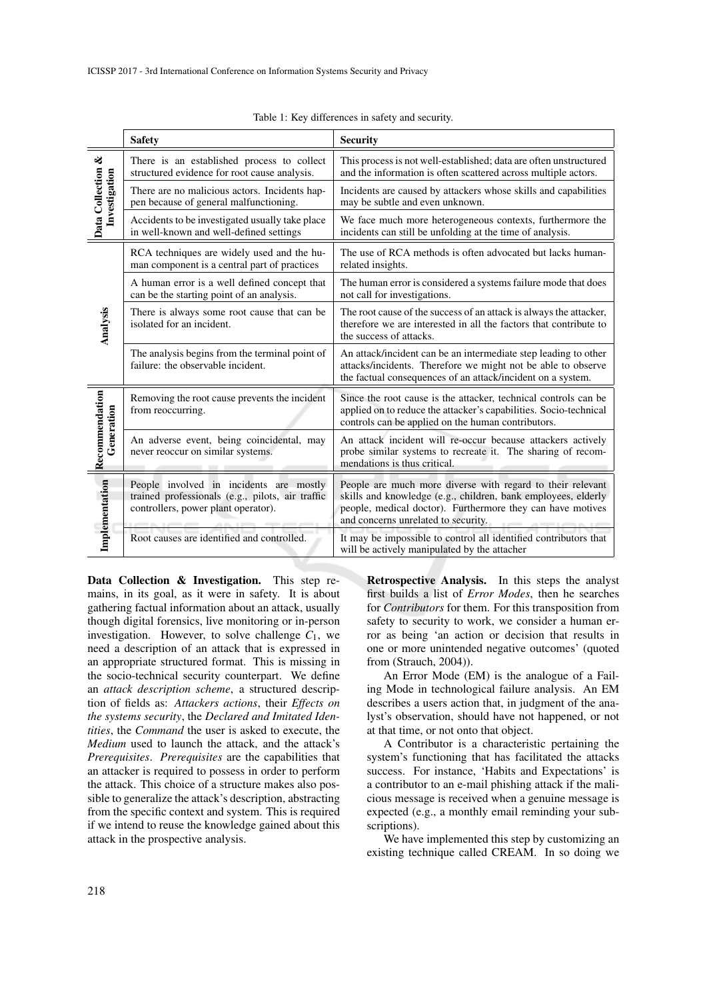|                                       | <b>Safety</b>                                                                                                                      | <b>Security</b>                                                                                                                                                                                                                  |
|---------------------------------------|------------------------------------------------------------------------------------------------------------------------------------|----------------------------------------------------------------------------------------------------------------------------------------------------------------------------------------------------------------------------------|
| త<br>Data Collection<br>Investigation | There is an established process to collect<br>structured evidence for root cause analysis.                                         | This process is not well-established; data are often unstructured<br>and the information is often scattered across multiple actors.                                                                                              |
|                                       | There are no malicious actors. Incidents hap-<br>pen because of general malfunctioning.                                            | Incidents are caused by attackers whose skills and capabilities<br>may be subtle and even unknown.                                                                                                                               |
|                                       | Accidents to be investigated usually take place<br>in well-known and well-defined settings                                         | We face much more heterogeneous contexts, furthermore the<br>incidents can still be unfolding at the time of analysis.                                                                                                           |
| Analysis                              | RCA techniques are widely used and the hu-<br>man component is a central part of practices                                         | The use of RCA methods is often advocated but lacks human-<br>related insights.                                                                                                                                                  |
|                                       | A human error is a well defined concept that<br>can be the starting point of an analysis.                                          | The human error is considered a systems failure mode that does<br>not call for investigations.                                                                                                                                   |
|                                       | There is always some root cause that can be.<br>isolated for an incident.                                                          | The root cause of the success of an attack is always the attacker,<br>therefore we are interested in all the factors that contribute to<br>the success of attacks.                                                               |
|                                       | The analysis begins from the terminal point of<br>failure: the observable incident.                                                | An attack/incident can be an intermediate step leading to other<br>attacks/incidents. Therefore we might not be able to observe<br>the factual consequences of an attack/incident on a system.                                   |
| Recommendation<br>Generation          | Removing the root cause prevents the incident<br>from reoccurring.                                                                 | Since the root cause is the attacker, technical controls can be<br>applied on to reduce the attacker's capabilities. Socio-technical<br>controls can be applied on the human contributors.                                       |
|                                       | An adverse event, being coincidental, may<br>never reoccur on similar systems.                                                     | An attack incident will re-occur because attackers actively<br>probe similar systems to recreate it. The sharing of recom-<br>mendations is thus critical.                                                                       |
| Implementation                        | People involved in incidents are mostly<br>trained professionals (e.g., pilots, air traffic<br>controllers, power plant operator). | People are much more diverse with regard to their relevant<br>skills and knowledge (e.g., children, bank employees, elderly<br>people, medical doctor). Furthermore they can have motives<br>and concerns unrelated to security. |
|                                       | Root causes are identified and controlled.                                                                                         | It may be impossible to control all identified contributors that<br>will be actively manipulated by the attacher                                                                                                                 |

Table 1: Key differences in safety and security.

Data Collection & Investigation. This step remains, in its goal, as it were in safety. It is about gathering factual information about an attack, usually though digital forensics, live monitoring or in-person investigation. However, to solve challenge  $C_1$ , we need a description of an attack that is expressed in an appropriate structured format. This is missing in the socio-technical security counterpart. We define an *attack description scheme*, a structured description of fields as: *Attackers actions*, their *Effects on the systems security*, the *Declared and Imitated Identities*, the *Command* the user is asked to execute, the *Medium* used to launch the attack, and the attack's *Prerequisites*. *Prerequisites* are the capabilities that an attacker is required to possess in order to perform the attack. This choice of a structure makes also possible to generalize the attack's description, abstracting from the specific context and system. This is required if we intend to reuse the knowledge gained about this attack in the prospective analysis.

Retrospective Analysis. In this steps the analyst first builds a list of *Error Modes*, then he searches for *Contributors* for them. For this transposition from safety to security to work, we consider a human error as being 'an action or decision that results in one or more unintended negative outcomes' (quoted from (Strauch, 2004)).

An Error Mode (EM) is the analogue of a Failing Mode in technological failure analysis. An EM describes a users action that, in judgment of the analyst's observation, should have not happened, or not at that time, or not onto that object.

A Contributor is a characteristic pertaining the system's functioning that has facilitated the attacks success. For instance, 'Habits and Expectations' is a contributor to an e-mail phishing attack if the malicious message is received when a genuine message is expected (e.g., a monthly email reminding your subscriptions).

We have implemented this step by customizing an existing technique called CREAM. In so doing we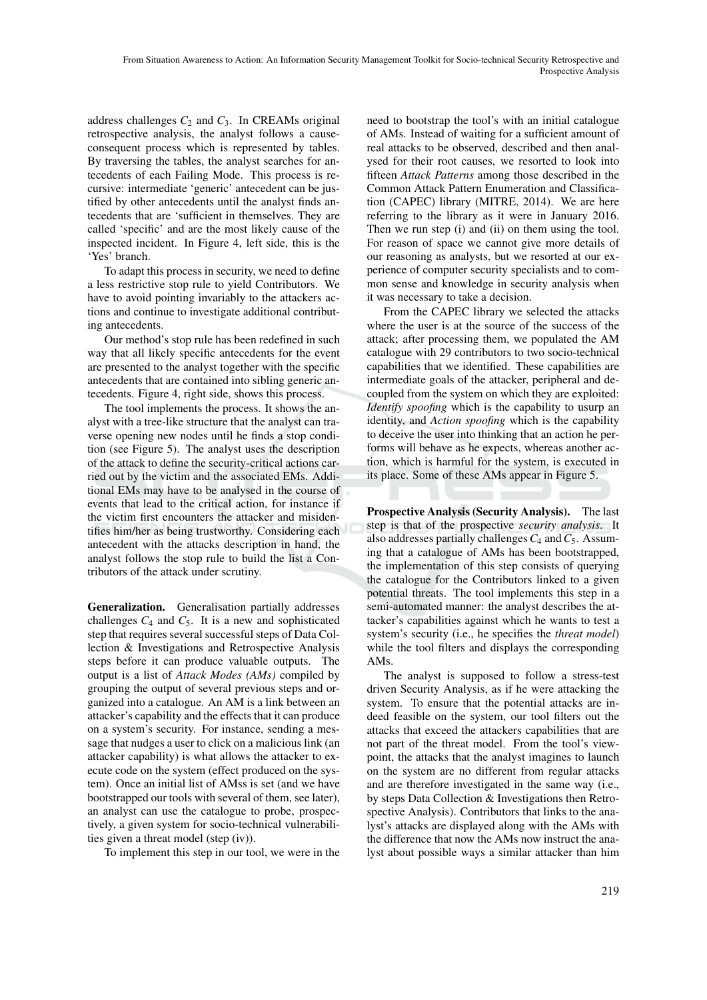address challenges  $C_2$  and  $C_3$ . In CREAMs original retrospective analysis, the analyst follows a causeconsequent process which is represented by tables. By traversing the tables, the analyst searches for antecedents of each Failing Mode. This process is recursive: intermediate 'generic' antecedent can be justified by other antecedents until the analyst finds antecedents that are 'sufficient in themselves. They are called 'specific' and are the most likely cause of the inspected incident. In Figure 4, left side, this is the 'Yes' branch.

To adapt this process in security, we need to define a less restrictive stop rule to yield Contributors. We have to avoid pointing invariably to the attackers actions and continue to investigate additional contributing antecedents.

Our method's stop rule has been redefined in such way that all likely specific antecedents for the event are presented to the analyst together with the specific antecedents that are contained into sibling generic antecedents. Figure 4, right side, shows this process.

The tool implements the process. It shows the analyst with a tree-like structure that the analyst can traverse opening new nodes until he finds a stop condition (see Figure 5). The analyst uses the description of the attack to define the security-critical actions carried out by the victim and the associated EMs. Additional EMs may have to be analysed in the course of events that lead to the critical action, for instance if the victim first encounters the attacker and misidentifies him/her as being trustworthy. Considering each antecedent with the attacks description in hand, the analyst follows the stop rule to build the list a Contributors of the attack under scrutiny.

Generalization. Generalisation partially addresses challenges  $C_4$  and  $C_5$ . It is a new and sophisticated step that requires several successful steps of Data Collection & Investigations and Retrospective Analysis steps before it can produce valuable outputs. The output is a list of *Attack Modes (AMs)* compiled by grouping the output of several previous steps and organized into a catalogue. An AM is a link between an attacker's capability and the effects that it can produce on a system's security. For instance, sending a message that nudges a user to click on a malicious link (an attacker capability) is what allows the attacker to execute code on the system (effect produced on the system). Once an initial list of AMss is set (and we have bootstrapped our tools with several of them, see later), an analyst can use the catalogue to probe, prospectively, a given system for socio-technical vulnerabilities given a threat model (step (iv)).

To implement this step in our tool, we were in the

need to bootstrap the tool's with an initial catalogue of AMs. Instead of waiting for a sufficient amount of real attacks to be observed, described and then analysed for their root causes, we resorted to look into fifteen *Attack Patterns* among those described in the Common Attack Pattern Enumeration and Classification (CAPEC) library (MITRE, 2014). We are here referring to the library as it were in January 2016. Then we run step (i) and (ii) on them using the tool. For reason of space we cannot give more details of our reasoning as analysts, but we resorted at our experience of computer security specialists and to common sense and knowledge in security analysis when it was necessary to take a decision.

From the CAPEC library we selected the attacks where the user is at the source of the success of the attack; after processing them, we populated the AM catalogue with 29 contributors to two socio-technical capabilities that we identified. These capabilities are intermediate goals of the attacker, peripheral and decoupled from the system on which they are exploited: *Identify spoofing* which is the capability to usurp an identity, and *Action spoofing* which is the capability to deceive the user into thinking that an action he performs will behave as he expects, whereas another action, which is harmful for the system, is executed in its place. Some of these AMs appear in Figure 5.

Prospective Analysis (Security Analysis). The last step is that of the prospective *security analysis*. It also addresses partially challenges*C*<sup>4</sup> and*C*5. Assuming that a catalogue of AMs has been bootstrapped, the implementation of this step consists of querying the catalogue for the Contributors linked to a given potential threats. The tool implements this step in a semi-automated manner: the analyst describes the attacker's capabilities against which he wants to test a system's security (i.e., he specifies the *threat model*) while the tool filters and displays the corresponding AMs.

The analyst is supposed to follow a stress-test driven Security Analysis, as if he were attacking the system. To ensure that the potential attacks are indeed feasible on the system, our tool filters out the attacks that exceed the attackers capabilities that are not part of the threat model. From the tool's viewpoint, the attacks that the analyst imagines to launch on the system are no different from regular attacks and are therefore investigated in the same way (i.e., by steps Data Collection & Investigations then Retrospective Analysis). Contributors that links to the analyst's attacks are displayed along with the AMs with the difference that now the AMs now instruct the analyst about possible ways a similar attacker than him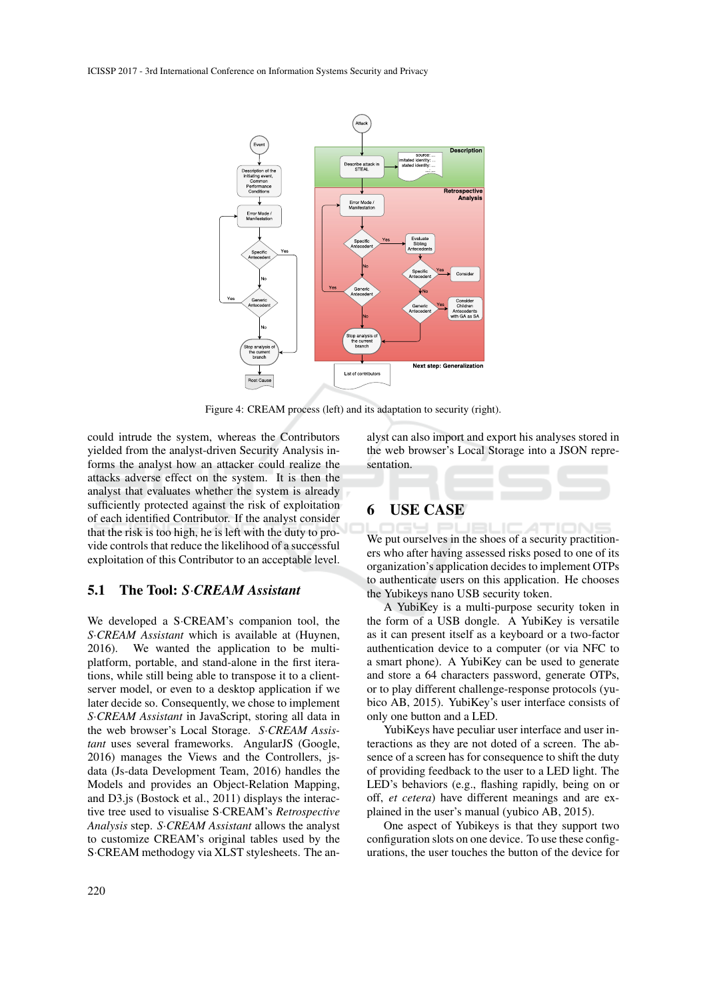

Figure 4: CREAM process (left) and its adaptation to security (right).

could intrude the system, whereas the Contributors yielded from the analyst-driven Security Analysis informs the analyst how an attacker could realize the attacks adverse effect on the system. It is then the analyst that evaluates whether the system is already sufficiently protected against the risk of exploitation of each identified Contributor. If the analyst consider that the risk is too high, he is left with the duty to provide controls that reduce the likelihood of a successful exploitation of this Contributor to an acceptable level.

## 5.1 The Tool: *S*·*CREAM Assistant*

We developed a S·CREAM's companion tool, the *S*·*CREAM Assistant* which is available at (Huynen, 2016). We wanted the application to be multi-We wanted the application to be multiplatform, portable, and stand-alone in the first iterations, while still being able to transpose it to a clientserver model, or even to a desktop application if we later decide so. Consequently, we chose to implement *S*·*CREAM Assistant* in JavaScript, storing all data in the web browser's Local Storage. *S*·*CREAM Assistant* uses several frameworks. AngularJS (Google, 2016) manages the Views and the Controllers, jsdata (Js-data Development Team, 2016) handles the Models and provides an Object-Relation Mapping, and D3.js (Bostock et al., 2011) displays the interactive tree used to visualise S·CREAM's *Retrospective Analysis* step. *S*·*CREAM Assistant* allows the analyst to customize CREAM's original tables used by the S·CREAM methodogy via XLST stylesheets. The analyst can also import and export his analyses stored in the web browser's Local Storage into a JSON representation.

# **USE CASE**

We put ourselves in the shoes of a security practitioners who after having assessed risks posed to one of its organization's application decides to implement OTPs to authenticate users on this application. He chooses the Yubikeys nano USB security token.

A YubiKey is a multi-purpose security token in the form of a USB dongle. A YubiKey is versatile as it can present itself as a keyboard or a two-factor authentication device to a computer (or via NFC to a smart phone). A YubiKey can be used to generate and store a 64 characters password, generate OTPs, or to play different challenge-response protocols (yubico AB, 2015). YubiKey's user interface consists of only one button and a LED.

YubiKeys have peculiar user interface and user interactions as they are not doted of a screen. The absence of a screen has for consequence to shift the duty of providing feedback to the user to a LED light. The LED's behaviors (e.g., flashing rapidly, being on or off, *et cetera*) have different meanings and are explained in the user's manual (yubico AB, 2015).

One aspect of Yubikeys is that they support two configuration slots on one device. To use these configurations, the user touches the button of the device for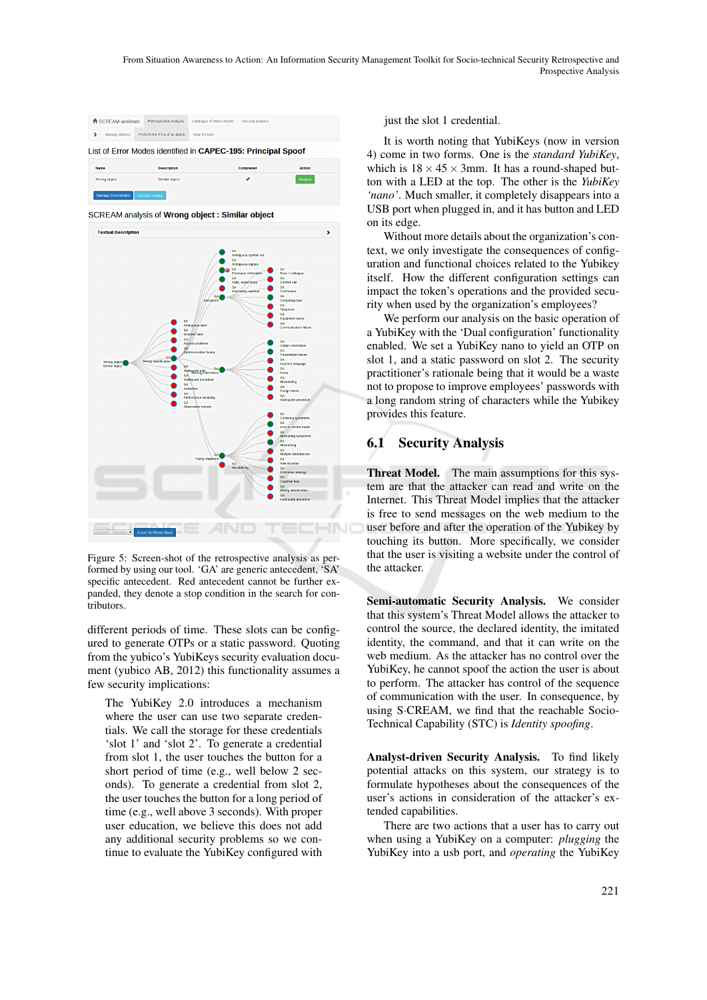



Figure 5: Screen-shot of the retrospective analysis as performed by using our tool. 'GA' are generic antecedent, 'SA' specific antecedent. Red antecedent cannot be further expanded, they denote a stop condition in the search for contributors.

different periods of time. These slots can be configured to generate OTPs or a static password. Quoting from the yubico's YubiKeys security evaluation document (yubico AB, 2012) this functionality assumes a few security implications:

The YubiKey 2.0 introduces a mechanism where the user can use two separate credentials. We call the storage for these credentials 'slot 1' and 'slot 2'. To generate a credential from slot 1, the user touches the button for a short period of time (e.g., well below 2 seconds). To generate a credential from slot 2, the user touches the button for a long period of time (e.g., well above 3 seconds). With proper user education, we believe this does not add any additional security problems so we continue to evaluate the YubiKey configured with

just the slot 1 credential.

It is worth noting that YubiKeys (now in version 4) come in two forms. One is the *standard YubiKey*, which is  $18 \times 45 \times 3$ mm. It has a round-shaped button with a LED at the top. The other is the *YubiKey 'nano'*. Much smaller, it completely disappears into a USB port when plugged in, and it has button and LED on its edge.

Without more details about the organization's context, we only investigate the consequences of configuration and functional choices related to the Yubikey itself. How the different configuration settings can impact the token's operations and the provided security when used by the organization's employees?

We perform our analysis on the basic operation of a YubiKey with the 'Dual configuration' functionality enabled. We set a YubiKey nano to yield an OTP on slot 1, and a static password on slot 2. The security practitioner's rationale being that it would be a waste not to propose to improve employees' passwords with a long random string of characters while the Yubikey provides this feature.

# 6.1 Security Analysis

Threat Model. The main assumptions for this system are that the attacker can read and write on the Internet. This Threat Model implies that the attacker is free to send messages on the web medium to the user before and after the operation of the Yubikey by touching its button. More specifically, we consider that the user is visiting a website under the control of the attacker.

Semi-automatic Security Analysis. We consider that this system's Threat Model allows the attacker to control the source, the declared identity, the imitated identity, the command, and that it can write on the web medium. As the attacker has no control over the YubiKey, he cannot spoof the action the user is about to perform. The attacker has control of the sequence of communication with the user. In consequence, by using S·CREAM, we find that the reachable Socio-Technical Capability (STC) is *Identity spoofing*.

Analyst-driven Security Analysis. To find likely potential attacks on this system, our strategy is to formulate hypotheses about the consequences of the user's actions in consideration of the attacker's extended capabilities.

There are two actions that a user has to carry out when using a YubiKey on a computer: *plugging* the YubiKey into a usb port, and *operating* the YubiKey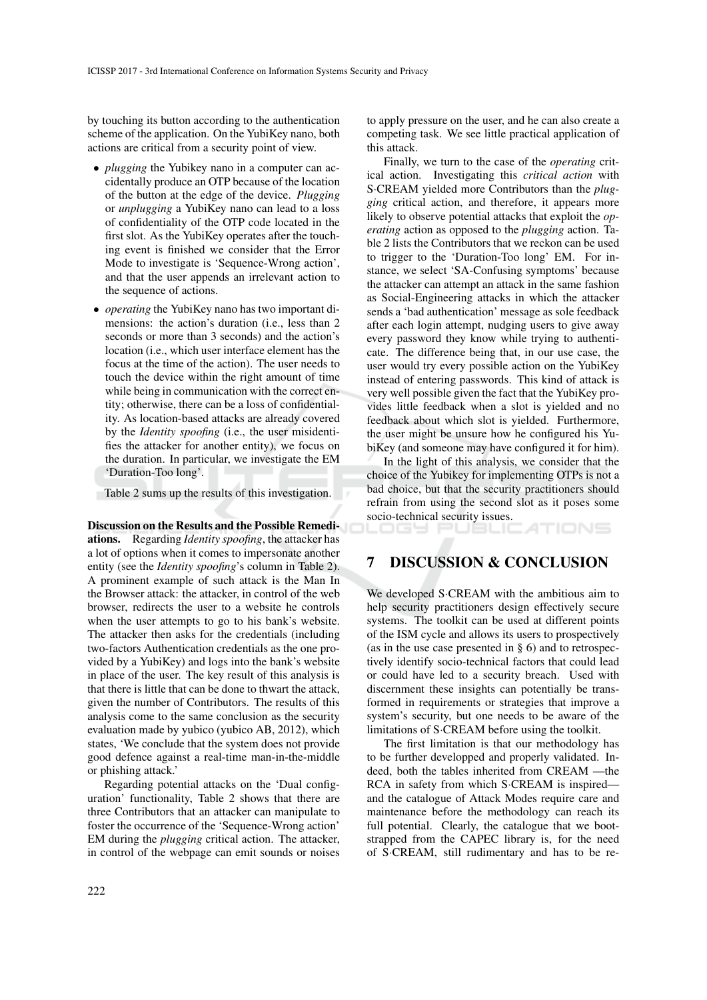by touching its button according to the authentication scheme of the application. On the YubiKey nano, both actions are critical from a security point of view.

- *plugging* the Yubikey nano in a computer can accidentally produce an OTP because of the location of the button at the edge of the device. *Plugging* or *unplugging* a YubiKey nano can lead to a loss of confidentiality of the OTP code located in the first slot. As the YubiKey operates after the touching event is finished we consider that the Error Mode to investigate is 'Sequence-Wrong action', and that the user appends an irrelevant action to the sequence of actions.
- *operating* the YubiKey nano has two important dimensions: the action's duration (i.e., less than 2 seconds or more than 3 seconds) and the action's location (i.e., which user interface element has the focus at the time of the action). The user needs to touch the device within the right amount of time while being in communication with the correct entity; otherwise, there can be a loss of confidentiality. As location-based attacks are already covered by the *Identity spoofing* (i.e., the user misidentifies the attacker for another entity), we focus on the duration. In particular, we investigate the EM 'Duration-Too long'.

Table 2 sums up the results of this investigation.

#### Discussion on the Results and the Possible Remedi-

ations. Regarding *Identity spoofing*, the attacker has a lot of options when it comes to impersonate another entity (see the *Identity spoofing*'s column in Table 2). A prominent example of such attack is the Man In the Browser attack: the attacker, in control of the web browser, redirects the user to a website he controls when the user attempts to go to his bank's website. The attacker then asks for the credentials (including two-factors Authentication credentials as the one provided by a YubiKey) and logs into the bank's website in place of the user. The key result of this analysis is that there is little that can be done to thwart the attack, given the number of Contributors. The results of this analysis come to the same conclusion as the security evaluation made by yubico (yubico AB, 2012), which states, 'We conclude that the system does not provide good defence against a real-time man-in-the-middle or phishing attack.'

Regarding potential attacks on the 'Dual configuration' functionality, Table 2 shows that there are three Contributors that an attacker can manipulate to foster the occurrence of the 'Sequence-Wrong action' EM during the *plugging* critical action. The attacker, in control of the webpage can emit sounds or noises

to apply pressure on the user, and he can also create a competing task. We see little practical application of this attack.

Finally, we turn to the case of the *operating* critical action. Investigating this *critical action* with S·CREAM yielded more Contributors than the *plugging* critical action, and therefore, it appears more likely to observe potential attacks that exploit the *operating* action as opposed to the *plugging* action. Table 2 lists the Contributors that we reckon can be used to trigger to the 'Duration-Too long' EM. For instance, we select 'SA-Confusing symptoms' because the attacker can attempt an attack in the same fashion as Social-Engineering attacks in which the attacker sends a 'bad authentication' message as sole feedback after each login attempt, nudging users to give away every password they know while trying to authenticate. The difference being that, in our use case, the user would try every possible action on the YubiKey instead of entering passwords. This kind of attack is very well possible given the fact that the YubiKey provides little feedback when a slot is yielded and no feedback about which slot is yielded. Furthermore, the user might be unsure how he configured his YubiKey (and someone may have configured it for him).

In the light of this analysis, we consider that the choice of the Yubikey for implementing OTPs is not a bad choice, but that the security practitioners should refrain from using the second slot as it poses some socio-technical security issues.

OGY PUBLICATIONS

### 7 DISCUSSION & CONCLUSION

We developed S·CREAM with the ambitious aim to help security practitioners design effectively secure systems. The toolkit can be used at different points of the ISM cycle and allows its users to prospectively (as in the use case presented in § 6) and to retrospectively identify socio-technical factors that could lead or could have led to a security breach. Used with discernment these insights can potentially be transformed in requirements or strategies that improve a system's security, but one needs to be aware of the limitations of S·CREAM before using the toolkit.

The first limitation is that our methodology has to be further developped and properly validated. Indeed, both the tables inherited from CREAM —the RCA in safety from which S·CREAM is inspired and the catalogue of Attack Modes require care and maintenance before the methodology can reach its full potential. Clearly, the catalogue that we bootstrapped from the CAPEC library is, for the need of S·CREAM, still rudimentary and has to be re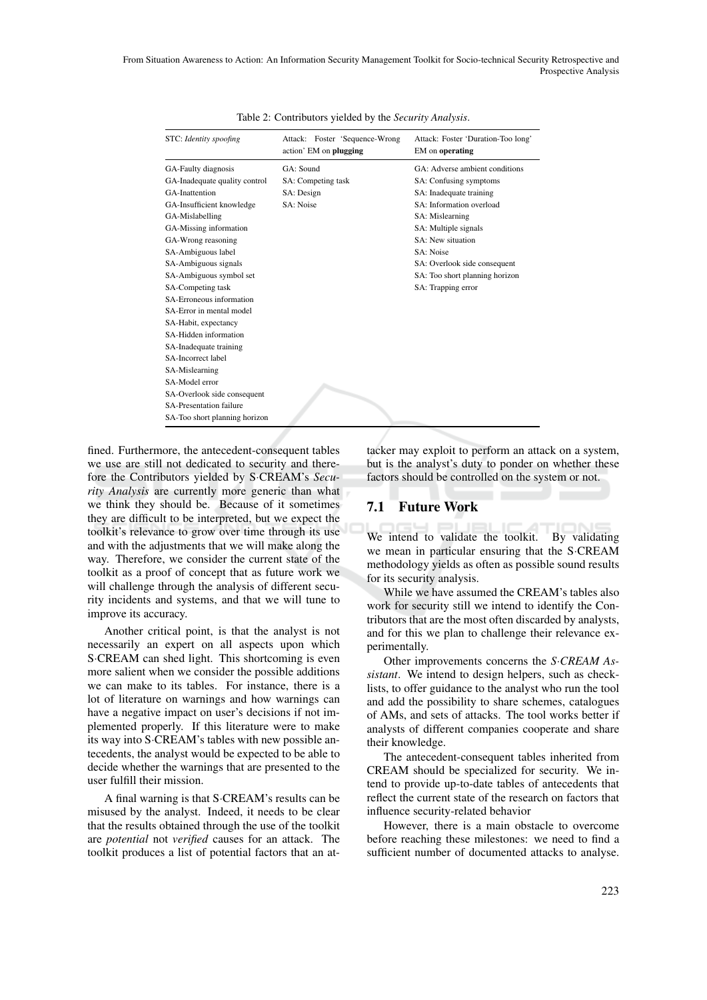From Situation Awareness to Action: An Information Security Management Toolkit for Socio-technical Security Retrospective and Prospective Analysis

| STC: Identity spoofing         | Attack: Foster 'Sequence-Wrong<br>action' EM on plugging | Attack: Foster 'Duration-Too long'<br>EM on operating |
|--------------------------------|----------------------------------------------------------|-------------------------------------------------------|
| GA-Faulty diagnosis            | GA: Sound                                                | GA: Adverse ambient conditions                        |
| GA-Inadequate quality control  | SA: Competing task                                       | SA: Confusing symptoms                                |
| GA-Inattention                 | SA: Design                                               | SA: Inadequate training                               |
| GA-Insufficient knowledge      | SA: Noise                                                | SA: Information overload                              |
| GA-Mislabelling                |                                                          | SA: Mislearning                                       |
| GA-Missing information         |                                                          | SA: Multiple signals                                  |
| GA-Wrong reasoning             |                                                          | SA: New situation                                     |
| SA-Ambiguous label             |                                                          | SA: Noise                                             |
| SA-Ambiguous signals           |                                                          | SA: Overlook side consequent                          |
| SA-Ambiguous symbol set        |                                                          | SA: Too short planning horizon                        |
| SA-Competing task              |                                                          | SA: Trapping error                                    |
| SA-Erroneous information       |                                                          |                                                       |
| SA-Error in mental model       |                                                          |                                                       |
| SA-Habit, expectancy           |                                                          |                                                       |
| SA-Hidden information          |                                                          |                                                       |
| SA-Inadequate training         |                                                          |                                                       |
| SA-Incorrect label             |                                                          |                                                       |
| SA-Mislearning                 |                                                          |                                                       |
| SA-Model error                 |                                                          |                                                       |
| SA-Overlook side consequent    |                                                          |                                                       |
| <b>SA-Presentation failure</b> |                                                          |                                                       |
| SA-Too short planning horizon  |                                                          |                                                       |

Table 2: Contributors yielded by the *Security Analysis*.

fined. Furthermore, the antecedent-consequent tables we use are still not dedicated to security and therefore the Contributors yielded by S·CREAM's *Security Analysis* are currently more generic than what we think they should be. Because of it sometimes they are difficult to be interpreted, but we expect the toolkit's relevance to grow over time through its use and with the adjustments that we will make along the way. Therefore, we consider the current state of the toolkit as a proof of concept that as future work we will challenge through the analysis of different security incidents and systems, and that we will tune to improve its accuracy.

Another critical point, is that the analyst is not necessarily an expert on all aspects upon which S·CREAM can shed light. This shortcoming is even more salient when we consider the possible additions we can make to its tables. For instance, there is a lot of literature on warnings and how warnings can have a negative impact on user's decisions if not implemented properly. If this literature were to make its way into S·CREAM's tables with new possible antecedents, the analyst would be expected to be able to decide whether the warnings that are presented to the user fulfill their mission.

A final warning is that S·CREAM's results can be misused by the analyst. Indeed, it needs to be clear that the results obtained through the use of the toolkit are *potential* not *verified* causes for an attack. The toolkit produces a list of potential factors that an attacker may exploit to perform an attack on a system, but is the analyst's duty to ponder on whether these factors should be controlled on the system or not.

#### 7.1 Future Work

We intend to validate the toolkit. By validating we mean in particular ensuring that the S·CREAM methodology yields as often as possible sound results for its security analysis.

While we have assumed the CREAM's tables also work for security still we intend to identify the Contributors that are the most often discarded by analysts, and for this we plan to challenge their relevance experimentally.

Other improvements concerns the *S*·*CREAM Assistant*. We intend to design helpers, such as checklists, to offer guidance to the analyst who run the tool and add the possibility to share schemes, catalogues of AMs, and sets of attacks. The tool works better if analysts of different companies cooperate and share their knowledge.

The antecedent-consequent tables inherited from CREAM should be specialized for security. We intend to provide up-to-date tables of antecedents that reflect the current state of the research on factors that influence security-related behavior

However, there is a main obstacle to overcome before reaching these milestones: we need to find a sufficient number of documented attacks to analyse.